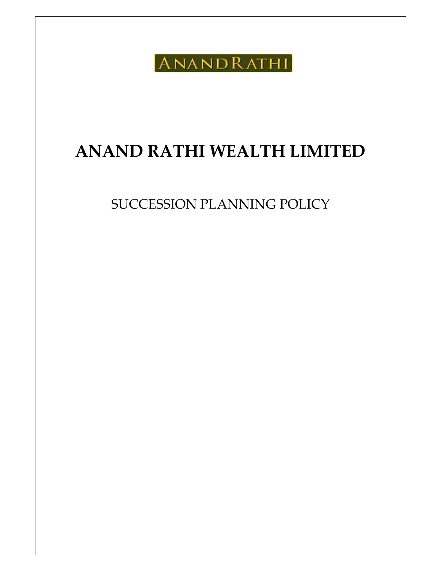ANANDRATHI

# ANAND RATHI WEALTH LIMITED

SUCCESSION PLANNING POLICY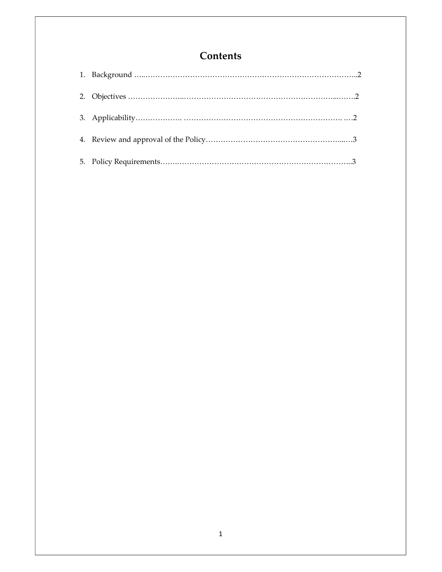# **Contents**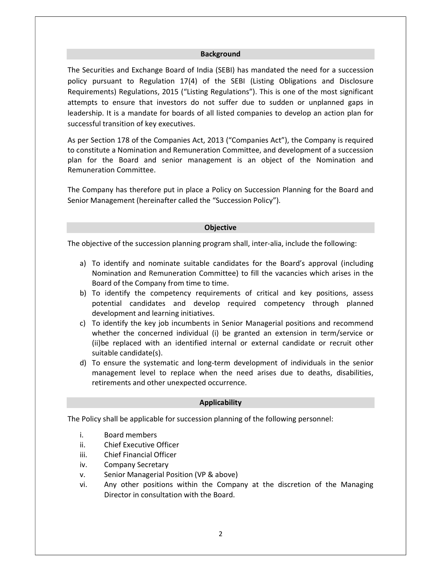#### **Background**

The Securities and Exchange Board of India (SEBI) has mandated the need for a succession policy pursuant to Regulation 17(4) of the SEBI (Listing Obligations and Disclosure Requirements) Regulations, 2015 ("Listing Regulations"). This is one of the most significant attempts to ensure that investors do not suffer due to sudden or unplanned gaps in leadership. It is a mandate for boards of all listed companies to develop an action plan for successful transition of key executives.

As per Section 178 of the Companies Act, 2013 ("Companies Act"), the Company is required to constitute a Nomination and Remuneration Committee, and development of a succession plan for the Board and senior management is an object of the Nomination and Remuneration Committee.

The Company has therefore put in place a Policy on Succession Planning for the Board and Senior Management (hereinafter called the "Succession Policy").

#### **Objective**

The objective of the succession planning program shall, inter-alia, include the following:

- a) To identify and nominate suitable candidates for the Board's approval (including Nomination and Remuneration Committee) to fill the vacancies which arises in the Board of the Company from time to time.
- b) To identify the competency requirements of critical and key positions, assess potential candidates and develop required competency through planned development and learning initiatives.
- c) To identify the key job incumbents in Senior Managerial positions and recommend whether the concerned individual (i) be granted an extension in term/service or (ii)be replaced with an identified internal or external candidate or recruit other suitable candidate(s).
- d) To ensure the systematic and long-term development of individuals in the senior management level to replace when the need arises due to deaths, disabilities, retirements and other unexpected occurrence.

#### Applicability

The Policy shall be applicable for succession planning of the following personnel:

- i. Board members
- ii. Chief Executive Officer
- iii. Chief Financial Officer
- iv. Company Secretary
- v. Senior Managerial Position (VP & above)
- vi. Any other positions within the Company at the discretion of the Managing Director in consultation with the Board.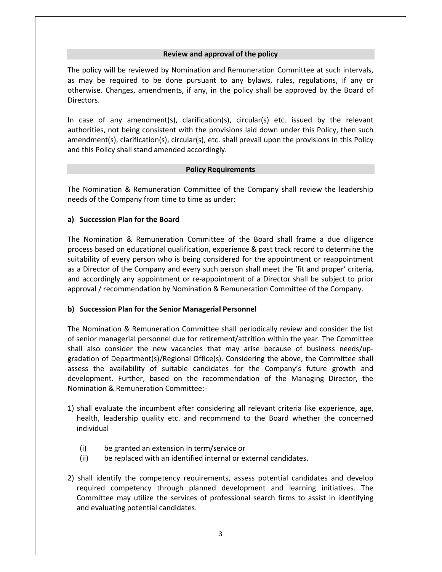### Review and approval of the policy

The policy will be reviewed by Nomination and Remuneration Committee at such intervals, as may be required to be done pursuant to any bylaws, rules, regulations, if any or otherwise. Changes, amendments, if any, in the policy shall be approved by the Board of Directors.

In case of any amendment(s), clarification(s), circular(s) etc. issued by the relevant authorities, not being consistent with the provisions laid down under this Policy, then such amendment(s), clarification(s), circular(s), etc. shall prevail upon the provisions in this Policy and this Policy shall stand amended accordingly.

#### Policy Requirements

The Nomination & Remuneration Committee of the Company shall review the leadership needs of the Company from time to time as under:

# a) Succession Plan for the Board

The Nomination & Remuneration Committee of the Board shall frame a due diligence process based on educational qualification, experience & past track record to determine the suitability of every person who is being considered for the appointment or reappointment as a Director of the Company and every such person shall meet the 'fit and proper' criteria, and accordingly any appointment or re-appointment of a Director shall be subject to prior approval / recommendation by Nomination & Remuneration Committee of the Company.

# b) Succession Plan for the Senior Managerial Personnel

The Nomination & Remuneration Committee shall periodically review and consider the list of senior managerial personnel due for retirement/attrition within the year. The Committee shall also consider the new vacancies that may arise because of business needs/upgradation of Department(s)/Regional Office(s). Considering the above, the Committee shall assess the availability of suitable candidates for the Company's future growth and development. Further, based on the recommendation of the Managing Director, the Nomination & Remuneration Committee:-

- 1) shall evaluate the incumbent after considering all relevant criteria like experience, age, health, leadership quality etc. and recommend to the Board whether the concerned individual
	- (i) be granted an extension in term/service or
	- (ii) be replaced with an identified internal or external candidates.
- 2) shall identify the competency requirements, assess potential candidates and develop required competency through planned development and learning initiatives. The Committee may utilize the services of professional search firms to assist in identifying and evaluating potential candidates.